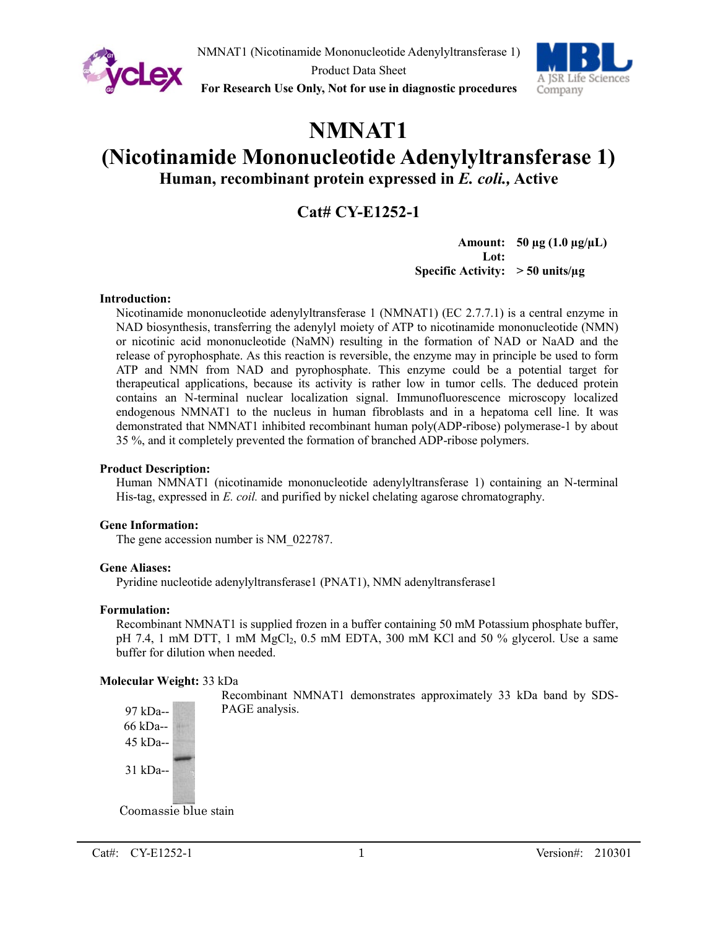

NMNAT1 (Nicotinamide Mononucleotide Adenylyltransferase 1)

Product Data Sheet

**For Research Use Only, Not for use in diagnostic procedures**



# **NMNAT1**

## **(Nicotinamide Mononucleotide Adenylyltransferase 1) Human, recombinant protein expressed in** *E. coli.,* **Active**

### **Cat# CY-E1252-1**

**Amount: 50 µg (1.0 µg/µL) Lot: Specific Activity: > 50 units/µg**

#### **Introduction:**

Nicotinamide mononucleotide adenylyltransferase 1 (NMNAT1) (EC 2.7.7.1) is a central enzyme in NAD biosynthesis, transferring the adenylyl moiety of ATP to nicotinamide mononucleotide (NMN) or nicotinic acid mononucleotide (NaMN) resulting in the formation of NAD or NaAD and the release of pyrophosphate. As this reaction is reversible, the enzyme may in principle be used to form ATP and NMN from NAD and pyrophosphate. This enzyme could be a potential target for therapeutical applications, because its activity is rather low in tumor cells. The deduced protein contains an N-terminal nuclear localization signal. Immunofluorescence microscopy localized endogenous NMNAT1 to the nucleus in human fibroblasts and in a hepatoma cell line. It was demonstrated that NMNAT1 inhibited recombinant human poly(ADP-ribose) polymerase-1 by about 35 %, and it completely prevented the formation of branched ADP-ribose polymers.

#### **Product Description:**

Human NMNAT1 (nicotinamide mononucleotide adenylyltransferase 1) containing an N-terminal His-tag, expressed in *E. coil.* and purified by nickel chelating agarose chromatography.

#### **Gene Information:**

The gene accession number is NM\_022787.

#### **Gene Aliases:**

Pyridine nucleotide adenylyltransferase1 (PNAT1), NMN adenyltransferase1

#### **Formulation:**

Recombinant NMNAT1 is supplied frozen in a buffer containing 50 mM Potassium phosphate buffer, pH 7.4, 1 mM DTT, 1 mM MgCl<sub>2</sub>, 0.5 mM EDTA, 300 mM KCl and 50 % glycerol. Use a same buffer for dilution when needed.

#### **Molecular Weight:** 33 kDa

Recombinant NMNAT1 demonstrates approximately 33 kDa band by SDS-PAGE analysis.

66 kDa-- 45 kDa-- 31 kDa--

97 kDa--

Coomassie blue stain